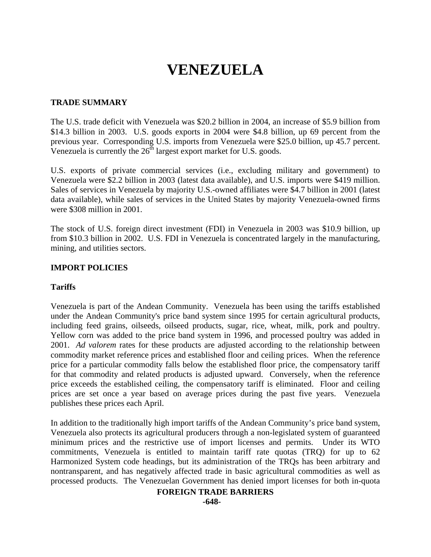# **VENEZUELA**

## **TRADE SUMMARY**

The U.S. trade deficit with Venezuela was \$20.2 billion in 2004, an increase of \$5.9 billion from \$14.3 billion in 2003. U.S. goods exports in 2004 were \$4.8 billion, up 69 percent from the previous year. Corresponding U.S. imports from Venezuela were \$25.0 billion, up 45.7 percent. Venezuela is currently the  $26<sup>th</sup>$  largest export market for U.S. goods.

U.S. exports of private commercial services (i.e., excluding military and government) to Venezuela were \$2.2 billion in 2003 (latest data available), and U.S. imports were \$419 million. Sales of services in Venezuela by majority U.S.-owned affiliates were \$4.7 billion in 2001 (latest data available), while sales of services in the United States by majority Venezuela-owned firms were \$308 million in 2001.

The stock of U.S. foreign direct investment (FDI) in Venezuela in 2003 was \$10.9 billion, up from \$10.3 billion in 2002. U.S. FDI in Venezuela is concentrated largely in the manufacturing, mining, and utilities sectors.

## **IMPORT POLICIES**

## **Tariffs**

Venezuela is part of the Andean Community. Venezuela has been using the tariffs established under the Andean Community's price band system since 1995 for certain agricultural products, including feed grains, oilseeds, oilseed products, sugar, rice, wheat, milk, pork and poultry. Yellow corn was added to the price band system in 1996, and processed poultry was added in 2001. *Ad valorem* rates for these products are adjusted according to the relationship between commodity market reference prices and established floor and ceiling prices. When the reference price for a particular commodity falls below the established floor price, the compensatory tariff for that commodity and related products is adjusted upward. Conversely, when the reference price exceeds the established ceiling, the compensatory tariff is eliminated. Floor and ceiling prices are set once a year based on average prices during the past five years. Venezuela publishes these prices each April.

In addition to the traditionally high import tariffs of the Andean Community's price band system, Venezuela also protects its agricultural producers through a non-legislated system of guaranteed minimum prices and the restrictive use of import licenses and permits. Under its WTO commitments, Venezuela is entitled to maintain tariff rate quotas (TRQ) for up to 62 Harmonized System code headings, but its administration of the TRQs has been arbitrary and nontransparent, and has negatively affected trade in basic agricultural commodities as well as processed products. The Venezuelan Government has denied import licenses for both in-quota

#### **FOREIGN TRADE BARRIERS**

**-648-**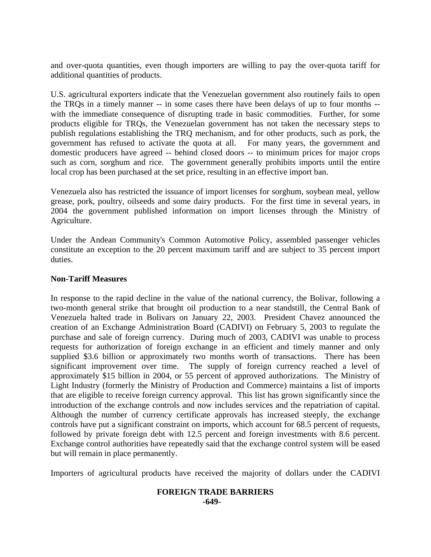and over-quota quantities, even though importers are willing to pay the over-quota tariff for additional quantities of products.

U.S. agricultural exporters indicate that the Venezuelan government also routinely fails to open the TRQs in a timely manner -- in some cases there have been delays of up to four months - with the immediate consequence of disrupting trade in basic commodities. Further, for some products eligible for TRQs, the Venezuelan government has not taken the necessary steps to publish regulations establishing the TRQ mechanism, and for other products, such as pork, the government has refused to activate the quota at all. For many years, the government and domestic producers have agreed -- behind closed doors -- to minimum prices for major crops such as corn, sorghum and rice. The government generally prohibits imports until the entire local crop has been purchased at the set price, resulting in an effective import ban.

Venezuela also has restricted the issuance of import licenses for sorghum, soybean meal, yellow grease, pork, poultry, oilseeds and some dairy products. For the first time in several years, in 2004 the government published information on import licenses through the Ministry of Agriculture.

Under the Andean Community's Common Automotive Policy, assembled passenger vehicles constitute an exception to the 20 percent maximum tariff and are subject to 35 percent import duties.

## **Non-Tariff Measures**

In response to the rapid decline in the value of the national currency, the Bolivar, following a two-month general strike that brought oil production to a near standstill, the Central Bank of Venezuela halted trade in Bolivars on January 22, 2003. President Chavez announced the creation of an Exchange Administration Board (CADIVI) on February 5, 2003 to regulate the purchase and sale of foreign currency. During much of 2003, CADIVI was unable to process requests for authorization of foreign exchange in an efficient and timely manner and only supplied \$3.6 billion or approximately two months worth of transactions. There has been significant improvement over time. The supply of foreign currency reached a level of approximately \$15 billion in 2004, or 55 percent of approved authorizations. The Ministry of Light Industry (formerly the Ministry of Production and Commerce) maintains a list of imports that are eligible to receive foreign currency approval. This list has grown significantly since the introduction of the exchange controls and now includes services and the repatriation of capital. Although the number of currency certificate approvals has increased steeply, the exchange controls have put a significant constraint on imports, which account for 68.5 percent of requests, followed by private foreign debt with 12.5 percent and foreign investments with 8.6 percent. Exchange control authorities have repeatedly said that the exchange control system will be eased but will remain in place permanently.

Importers of agricultural products have received the majority of dollars under the CADIVI

#### **FOREIGN TRADE BARRIERS -649-**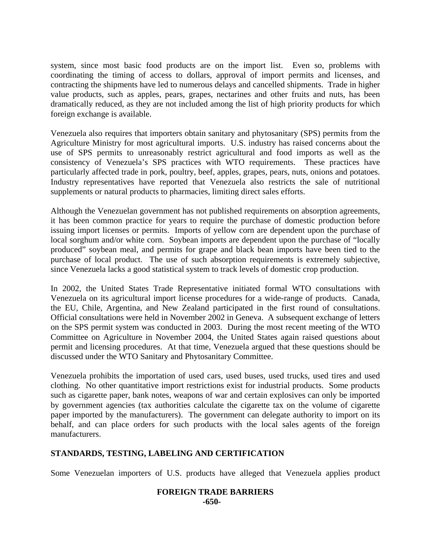system, since most basic food products are on the import list. Even so, problems with coordinating the timing of access to dollars, approval of import permits and licenses, and contracting the shipments have led to numerous delays and cancelled shipments. Trade in higher value products, such as apples, pears, grapes, nectarines and other fruits and nuts, has been dramatically reduced, as they are not included among the list of high priority products for which foreign exchange is available.

Venezuela also requires that importers obtain sanitary and phytosanitary (SPS) permits from the Agriculture Ministry for most agricultural imports. U.S. industry has raised concerns about the use of SPS permits to unreasonably restrict agricultural and food imports as well as the consistency of Venezuela's SPS practices with WTO requirements. These practices have particularly affected trade in pork, poultry, beef, apples, grapes, pears, nuts, onions and potatoes. Industry representatives have reported that Venezuela also restricts the sale of nutritional supplements or natural products to pharmacies, limiting direct sales efforts.

Although the Venezuelan government has not published requirements on absorption agreements, it has been common practice for years to require the purchase of domestic production before issuing import licenses or permits. Imports of yellow corn are dependent upon the purchase of local sorghum and/or white corn. Soybean imports are dependent upon the purchase of "locally produced" soybean meal, and permits for grape and black bean imports have been tied to the purchase of local product. The use of such absorption requirements is extremely subjective, since Venezuela lacks a good statistical system to track levels of domestic crop production.

In 2002, the United States Trade Representative initiated formal WTO consultations with Venezuela on its agricultural import license procedures for a wide-range of products. Canada, the EU, Chile, Argentina, and New Zealand participated in the first round of consultations. Official consultations were held in November 2002 in Geneva. A subsequent exchange of letters on the SPS permit system was conducted in 2003. During the most recent meeting of the WTO Committee on Agriculture in November 2004, the United States again raised questions about permit and licensing procedures. At that time, Venezuela argued that these questions should be discussed under the WTO Sanitary and Phytosanitary Committee.

Venezuela prohibits the importation of used cars, used buses, used trucks, used tires and used clothing. No other quantitative import restrictions exist for industrial products. Some products such as cigarette paper, bank notes, weapons of war and certain explosives can only be imported by government agencies (tax authorities calculate the cigarette tax on the volume of cigarette paper imported by the manufacturers). The government can delegate authority to import on its behalf, and can place orders for such products with the local sales agents of the foreign manufacturers.

# **STANDARDS, TESTING, LABELING AND CERTIFICATION**

Some Venezuelan importers of U.S. products have alleged that Venezuela applies product

#### **FOREIGN TRADE BARRIERS -650-**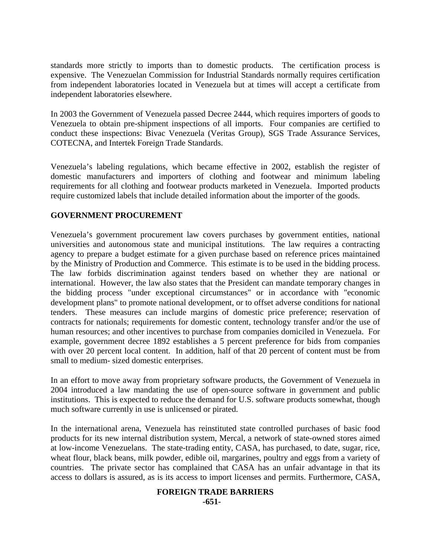standards more strictly to imports than to domestic products. The certification process is expensive. The Venezuelan Commission for Industrial Standards normally requires certification from independent laboratories located in Venezuela but at times will accept a certificate from independent laboratories elsewhere.

In 2003 the Government of Venezuela passed Decree 2444, which requires importers of goods to Venezuela to obtain pre-shipment inspections of all imports. Four companies are certified to conduct these inspections: Bivac Venezuela (Veritas Group), SGS Trade Assurance Services, COTECNA, and Intertek Foreign Trade Standards.

Venezuela's labeling regulations, which became effective in 2002, establish the register of domestic manufacturers and importers of clothing and footwear and minimum labeling requirements for all clothing and footwear products marketed in Venezuela. Imported products require customized labels that include detailed information about the importer of the goods.

## **GOVERNMENT PROCUREMENT**

Venezuela's government procurement law covers purchases by government entities, national universities and autonomous state and municipal institutions. The law requires a contracting agency to prepare a budget estimate for a given purchase based on reference prices maintained by the Ministry of Production and Commerce. This estimate is to be used in the bidding process. The law forbids discrimination against tenders based on whether they are national or international. However, the law also states that the President can mandate temporary changes in the bidding process "under exceptional circumstances" or in accordance with "economic development plans" to promote national development, or to offset adverse conditions for national tenders. These measures can include margins of domestic price preference; reservation of contracts for nationals; requirements for domestic content, technology transfer and/or the use of human resources; and other incentives to purchase from companies domiciled in Venezuela. For example, government decree 1892 establishes a 5 percent preference for bids from companies with over 20 percent local content. In addition, half of that 20 percent of content must be from small to medium- sized domestic enterprises.

In an effort to move away from proprietary software products, the Government of Venezuela in 2004 introduced a law mandating the use of open-source software in government and public institutions. This is expected to reduce the demand for U.S. software products somewhat, though much software currently in use is unlicensed or pirated.

In the international arena, Venezuela has reinstituted state controlled purchases of basic food products for its new internal distribution system, Mercal, a network of state-owned stores aimed at low-income Venezuelans. The state-trading entity, CASA, has purchased, to date, sugar, rice, wheat flour, black beans, milk powder, edible oil, margarines, poultry and eggs from a variety of countries. The private sector has complained that CASA has an unfair advantage in that its access to dollars is assured, as is its access to import licenses and permits. Furthermore, CASA,

#### **FOREIGN TRADE BARRIERS -651-**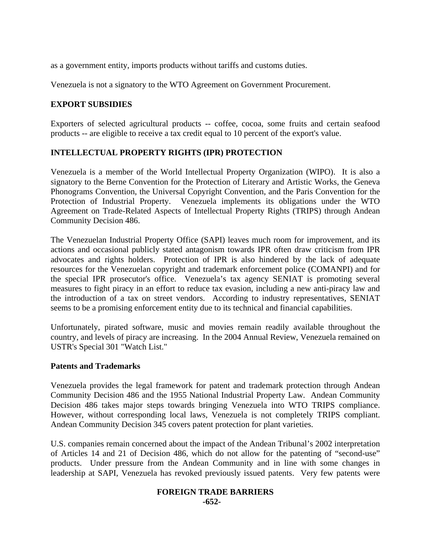as a government entity, imports products without tariffs and customs duties.

Venezuela is not a signatory to the WTO Agreement on Government Procurement.

## **EXPORT SUBSIDIES**

Exporters of selected agricultural products -- coffee, cocoa, some fruits and certain seafood products -- are eligible to receive a tax credit equal to 10 percent of the export's value.

## **INTELLECTUAL PROPERTY RIGHTS (IPR) PROTECTION**

Venezuela is a member of the World Intellectual Property Organization (WIPO). It is also a signatory to the Berne Convention for the Protection of Literary and Artistic Works, the Geneva Phonograms Convention, the Universal Copyright Convention, and the Paris Convention for the Protection of Industrial Property. Venezuela implements its obligations under the WTO Agreement on Trade-Related Aspects of Intellectual Property Rights (TRIPS) through Andean Community Decision 486.

The Venezuelan Industrial Property Office (SAPI) leaves much room for improvement, and its actions and occasional publicly stated antagonism towards IPR often draw criticism from IPR advocates and rights holders. Protection of IPR is also hindered by the lack of adequate resources for the Venezuelan copyright and trademark enforcement police (COMANPI) and for the special IPR prosecutor's office. Venezuela's tax agency SENIAT is promoting several measures to fight piracy in an effort to reduce tax evasion, including a new anti-piracy law and the introduction of a tax on street vendors. According to industry representatives, SENIAT seems to be a promising enforcement entity due to its technical and financial capabilities.

Unfortunately, pirated software, music and movies remain readily available throughout the country, and levels of piracy are increasing. In the 2004 Annual Review, Venezuela remained on USTR's Special 301 "Watch List."

#### **Patents and Trademarks**

Venezuela provides the legal framework for patent and trademark protection through Andean Community Decision 486 and the 1955 National Industrial Property Law. Andean Community Decision 486 takes major steps towards bringing Venezuela into WTO TRIPS compliance. However, without corresponding local laws, Venezuela is not completely TRIPS compliant. Andean Community Decision 345 covers patent protection for plant varieties.

U.S. companies remain concerned about the impact of the Andean Tribunal's 2002 interpretation of Articles 14 and 21 of Decision 486, which do not allow for the patenting of "second-use" products. Under pressure from the Andean Community and in line with some changes in leadership at SAPI, Venezuela has revoked previously issued patents. Very few patents were

#### **FOREIGN TRADE BARRIERS -652-**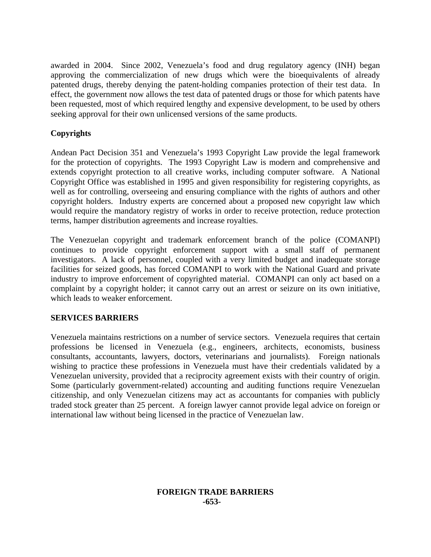awarded in 2004. Since 2002, Venezuela's food and drug regulatory agency (INH) began approving the commercialization of new drugs which were the bioequivalents of already patented drugs, thereby denying the patent-holding companies protection of their test data. In effect, the government now allows the test data of patented drugs or those for which patents have been requested, most of which required lengthy and expensive development, to be used by others seeking approval for their own unlicensed versions of the same products.

# **Copyrights**

Andean Pact Decision 351 and Venezuela's 1993 Copyright Law provide the legal framework for the protection of copyrights. The 1993 Copyright Law is modern and comprehensive and extends copyright protection to all creative works, including computer software. A National Copyright Office was established in 1995 and given responsibility for registering copyrights, as well as for controlling, overseeing and ensuring compliance with the rights of authors and other copyright holders. Industry experts are concerned about a proposed new copyright law which would require the mandatory registry of works in order to receive protection, reduce protection terms, hamper distribution agreements and increase royalties.

The Venezuelan copyright and trademark enforcement branch of the police (COMANPI) continues to provide copyright enforcement support with a small staff of permanent investigators. A lack of personnel, coupled with a very limited budget and inadequate storage facilities for seized goods, has forced COMANPI to work with the National Guard and private industry to improve enforcement of copyrighted material. COMANPI can only act based on a complaint by a copyright holder; it cannot carry out an arrest or seizure on its own initiative, which leads to weaker enforcement.

## **SERVICES BARRIERS**

Venezuela maintains restrictions on a number of service sectors. Venezuela requires that certain professions be licensed in Venezuela (e.g., engineers, architects, economists, business consultants, accountants, lawyers, doctors, veterinarians and journalists). Foreign nationals wishing to practice these professions in Venezuela must have their credentials validated by a Venezuelan university, provided that a reciprocity agreement exists with their country of origin. Some (particularly government-related) accounting and auditing functions require Venezuelan citizenship, and only Venezuelan citizens may act as accountants for companies with publicly traded stock greater than 25 percent. A foreign lawyer cannot provide legal advice on foreign or international law without being licensed in the practice of Venezuelan law.

#### **FOREIGN TRADE BARRIERS -653-**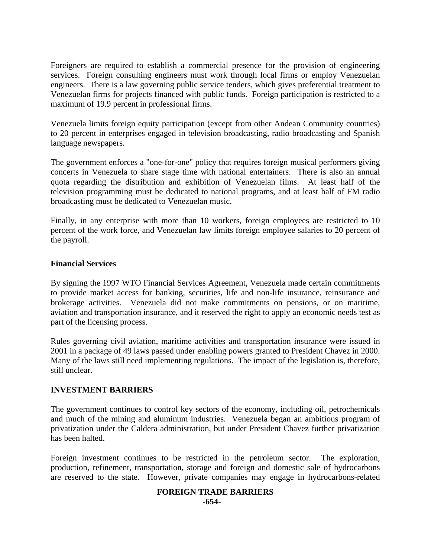Foreigners are required to establish a commercial presence for the provision of engineering services. Foreign consulting engineers must work through local firms or employ Venezuelan engineers. There is a law governing public service tenders, which gives preferential treatment to Venezuelan firms for projects financed with public funds. Foreign participation is restricted to a maximum of 19.9 percent in professional firms.

Venezuela limits foreign equity participation (except from other Andean Community countries) to 20 percent in enterprises engaged in television broadcasting, radio broadcasting and Spanish language newspapers.

The government enforces a "one-for-one" policy that requires foreign musical performers giving concerts in Venezuela to share stage time with national entertainers. There is also an annual quota regarding the distribution and exhibition of Venezuelan films. At least half of the television programming must be dedicated to national programs, and at least half of FM radio broadcasting must be dedicated to Venezuelan music.

Finally, in any enterprise with more than 10 workers, foreign employees are restricted to 10 percent of the work force, and Venezuelan law limits foreign employee salaries to 20 percent of the payroll.

## **Financial Services**

By signing the 1997 WTO Financial Services Agreement, Venezuela made certain commitments to provide market access for banking, securities, life and non-life insurance, reinsurance and brokerage activities. Venezuela did not make commitments on pensions, or on maritime, aviation and transportation insurance, and it reserved the right to apply an economic needs test as part of the licensing process.

Rules governing civil aviation, maritime activities and transportation insurance were issued in 2001 in a package of 49 laws passed under enabling powers granted to President Chavez in 2000. Many of the laws still need implementing regulations. The impact of the legislation is, therefore, still unclear.

# **INVESTMENT BARRIERS**

The government continues to control key sectors of the economy, including oil, petrochemicals and much of the mining and aluminum industries. Venezuela began an ambitious program of privatization under the Caldera administration, but under President Chavez further privatization has been halted.

Foreign investment continues to be restricted in the petroleum sector. The exploration, production, refinement, transportation, storage and foreign and domestic sale of hydrocarbons are reserved to the state. However, private companies may engage in hydrocarbons-related

#### **FOREIGN TRADE BARRIERS -654-**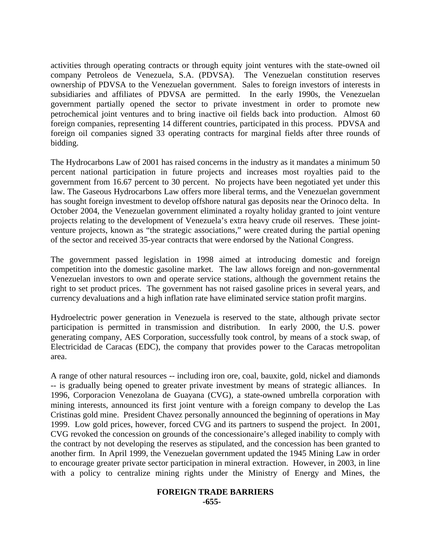activities through operating contracts or through equity joint ventures with the state-owned oil company Petroleos de Venezuela, S.A. (PDVSA). The Venezuelan constitution reserves ownership of PDVSA to the Venezuelan government. Sales to foreign investors of interests in subsidiaries and affiliates of PDVSA are permitted. In the early 1990s, the Venezuelan government partially opened the sector to private investment in order to promote new petrochemical joint ventures and to bring inactive oil fields back into production. Almost 60 foreign companies, representing 14 different countries, participated in this process. PDVSA and foreign oil companies signed 33 operating contracts for marginal fields after three rounds of bidding.

The Hydrocarbons Law of 2001 has raised concerns in the industry as it mandates a minimum 50 percent national participation in future projects and increases most royalties paid to the government from 16.67 percent to 30 percent. No projects have been negotiated yet under this law. The Gaseous Hydrocarbons Law offers more liberal terms, and the Venezuelan government has sought foreign investment to develop offshore natural gas deposits near the Orinoco delta. In October 2004, the Venezuelan government eliminated a royalty holiday granted to joint venture projects relating to the development of Venezuela's extra heavy crude oil reserves. These jointventure projects, known as "the strategic associations," were created during the partial opening of the sector and received 35-year contracts that were endorsed by the National Congress.

The government passed legislation in 1998 aimed at introducing domestic and foreign competition into the domestic gasoline market. The law allows foreign and non-governmental Venezuelan investors to own and operate service stations, although the government retains the right to set product prices. The government has not raised gasoline prices in several years, and currency devaluations and a high inflation rate have eliminated service station profit margins.

Hydroelectric power generation in Venezuela is reserved to the state, although private sector participation is permitted in transmission and distribution. In early 2000, the U.S. power generating company, AES Corporation, successfully took control, by means of a stock swap, of Electricidad de Caracas (EDC), the company that provides power to the Caracas metropolitan area.

A range of other natural resources -- including iron ore, coal, bauxite, gold, nickel and diamonds -- is gradually being opened to greater private investment by means of strategic alliances. In 1996, Corporacion Venezolana de Guayana (CVG), a state-owned umbrella corporation with mining interests, announced its first joint venture with a foreign company to develop the Las Cristinas gold mine. President Chavez personally announced the beginning of operations in May 1999. Low gold prices, however, forced CVG and its partners to suspend the project. In 2001, CVG revoked the concession on grounds of the concessionaire's alleged inability to comply with the contract by not developing the reserves as stipulated, and the concession has been granted to another firm. In April 1999, the Venezuelan government updated the 1945 Mining Law in order to encourage greater private sector participation in mineral extraction. However, in 2003, in line with a policy to centralize mining rights under the Ministry of Energy and Mines, the

#### **FOREIGN TRADE BARRIERS -655-**